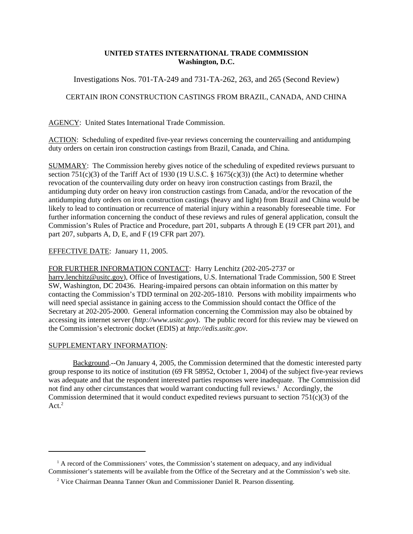## **UNITED STATES INTERNATIONAL TRADE COMMISSION Washington, D.C.**

Investigations Nos. 701-TA-249 and 731-TA-262, 263, and 265 (Second Review)

## CERTAIN IRON CONSTRUCTION CASTINGS FROM BRAZIL, CANADA, AND CHINA

AGENCY: United States International Trade Commission.

ACTION: Scheduling of expedited five-year reviews concerning the countervailing and antidumping duty orders on certain iron construction castings from Brazil, Canada, and China.

SUMMARY: The Commission hereby gives notice of the scheduling of expedited reviews pursuant to section 751(c)(3) of the Tariff Act of 1930 (19 U.S.C. § 1675(c)(3)) (the Act) to determine whether revocation of the countervailing duty order on heavy iron construction castings from Brazil, the antidumping duty order on heavy iron construction castings from Canada, and/or the revocation of the antidumping duty orders on iron construction castings (heavy and light) from Brazil and China would be likely to lead to continuation or recurrence of material injury within a reasonably foreseeable time. For further information concerning the conduct of these reviews and rules of general application, consult the Commission's Rules of Practice and Procedure, part 201, subparts A through E (19 CFR part 201), and part 207, subparts A, D, E, and F (19 CFR part 207).

## EFFECTIVE DATE: January 11, 2005.

FOR FURTHER INFORMATION CONTACT: Harry Lenchitz (202-205-2737 or

harry.lenchitz@usitc.gov), Office of Investigations, U.S. International Trade Commission, 500 E Street SW, Washington, DC 20436. Hearing-impaired persons can obtain information on this matter by contacting the Commission's TDD terminal on 202-205-1810. Persons with mobility impairments who will need special assistance in gaining access to the Commission should contact the Office of the Secretary at 202-205-2000. General information concerning the Commission may also be obtained by accessing its internet server (*http://www.usitc.gov*). The public record for this review may be viewed on the Commission's electronic docket (EDIS) at *http://edis.usitc.gov*.

## SUPPLEMENTARY INFORMATION:

Background.--On January 4, 2005, the Commission determined that the domestic interested party group response to its notice of institution (69 FR 58952, October 1, 2004) of the subject five-year reviews was adequate and that the respondent interested parties responses were inadequate. The Commission did not find any other circumstances that would warrant conducting full reviews.<sup>1</sup> Accordingly, the Commission determined that it would conduct expedited reviews pursuant to section  $751(c)(3)$  of the Act. $2$ 

<sup>&</sup>lt;sup>1</sup> A record of the Commissioners' votes, the Commission's statement on adequacy, and any individual Commissioner's statements will be available from the Office of the Secretary and at the Commission's web site.

<sup>&</sup>lt;sup>2</sup> Vice Chairman Deanna Tanner Okun and Commissioner Daniel R. Pearson dissenting.